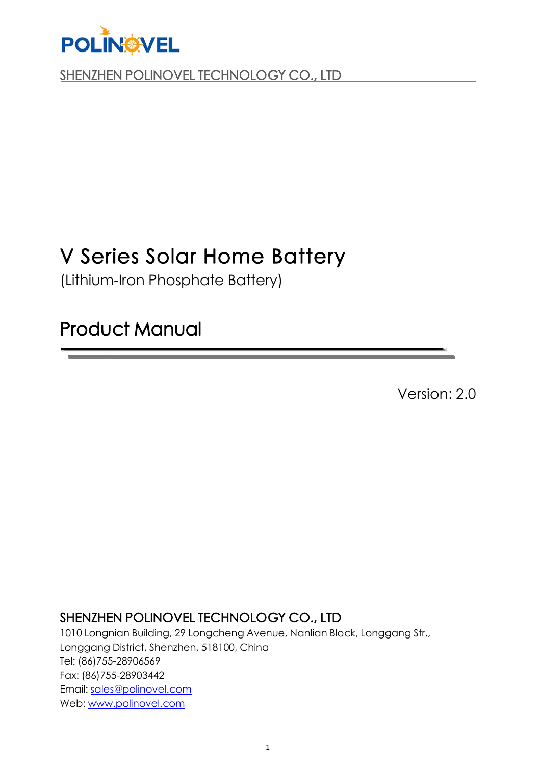

## V Series Solar Home Battery

(Lithium-Iron Phosphate Battery)

## Product Manual

Version: 2.0

## SHENZHEN POLINOVEL TECHNOLOGY CO., LTD

1010 Longnian Building, 29 Longcheng Avenue, Nanlian Block, Longgang Str., Longgang District, Shenzhen, 518100, China Tel: (86)755-28906569 Fax: (86)755-28903442 Email: [sales@polinovel.com](mailto:sales@plgenergy.com) Web: [www.polinovel.com](http://www.top1battery.com)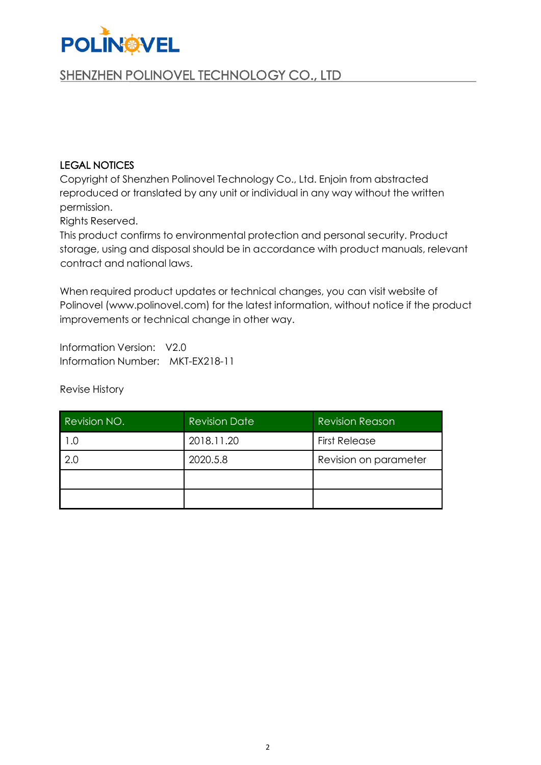

#### LEGAL NOTICES

Copyright of Shenzhen Polinovel Technology Co., Ltd. Enjoin from abstracted reproduced or translated by any unit or individual in any way without the written permission.

Rights Reserved.

This product confirms to environmental protection and personal security. Product storage, using and disposal should be in accordance with product manuals, relevant contract and national laws.

When required product updates or technical changes, you can visit website of Polinovel (www.polinovel.com) for the latest information, without notice if the product improvements or technical change in other way.

Information Version: V2.0 Information Number: MKT-EX218-11

Revise History

| Revision NO. | <b>Revision Date</b> | <b>Revision Reason</b> |
|--------------|----------------------|------------------------|
| .C           | 2018.11.20           | <b>First Release</b>   |
| 2.0          | 2020.5.8             | Revision on parameter  |
|              |                      |                        |
|              |                      |                        |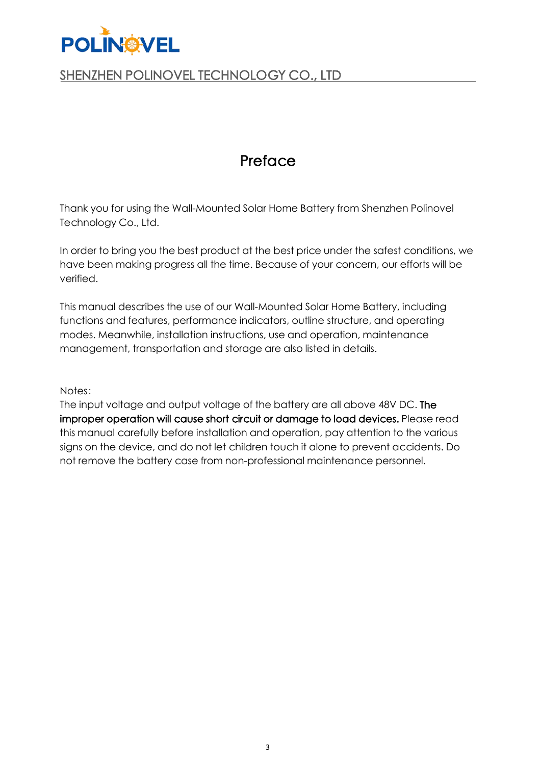

## Preface

Thank you for using the Wall-Mounted Solar Home Battery from Shenzhen Polinovel Technology Co., Ltd.

In order to bring you the best product at the best price under the safest conditions, we have been making progress all the time. Because of your concern, our efforts will be verified.

This manual describes the use of our Wall-Mounted Solar Home Battery, including functions and features, performance indicators, outline structure, and operating modes. Meanwhile, installation instructions, use and operation, maintenance management, transportation and storage are also listed in details.

Notes:

The input voltage and output voltage of the battery are all above 48V DC. The improper operation will cause short circuit or damage to load devices. Please read this manual carefully before installation and operation, pay attention to the various signs on the device, and do not let children touch it alone to prevent accidents. Do not remove the battery case from non-professional maintenance personnel.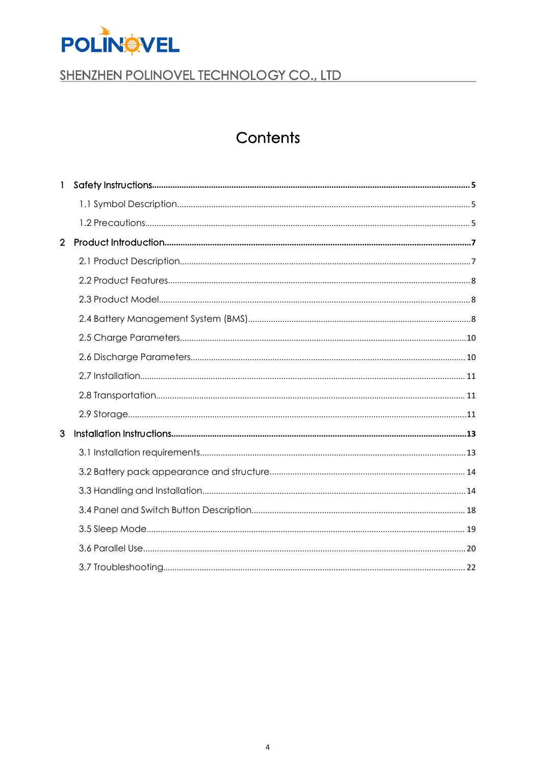

## Contents

| $\mathbf{1}$   |  |
|----------------|--|
|                |  |
|                |  |
| $\overline{2}$ |  |
|                |  |
|                |  |
|                |  |
|                |  |
|                |  |
|                |  |
|                |  |
|                |  |
|                |  |
| 3              |  |
|                |  |
|                |  |
|                |  |
|                |  |
|                |  |
|                |  |
|                |  |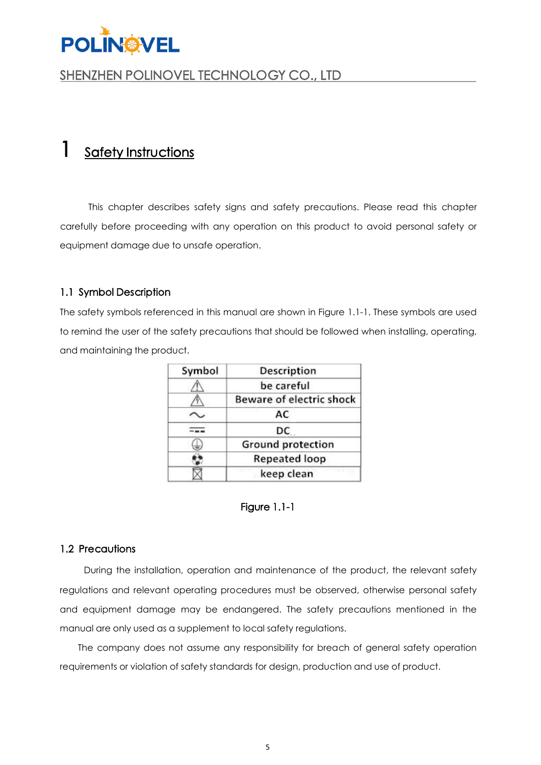

## <span id="page-4-0"></span>1 Safety Instructions

This chapter describes safety signs and safety precautions. Please read this chapter carefully before proceeding with any operation on this product to avoid personal safety or equipment damage due to unsafe operation.

#### <span id="page-4-1"></span>1.1 Symbol Description

The safety symbols referenced in this manual are shown in Figure 1.1-1. These symbols are used to remind the user of the safety precautions that should be followed when installing, operating, and maintaining the product.

| Symbol | <b>Description</b>       |
|--------|--------------------------|
|        | be careful               |
|        | Beware of electric shock |
|        | AC                       |
|        | DC                       |
|        | <b>Ground protection</b> |
|        | <b>Repeated loop</b>     |
|        | keep clean               |

#### Figure 1.1-1

#### <span id="page-4-2"></span>1.2 Precautions

During the installation, operation and maintenance of the product, the relevant safety regulations and relevant operating procedures must be observed, otherwise personal safety and equipment damage may be endangered. The safety precautions mentioned in the manual are only used as a supplement to local safety regulations.

The company does not assume any responsibility for breach of general safety operation requirements or violation of safety standards for design, production and use of product.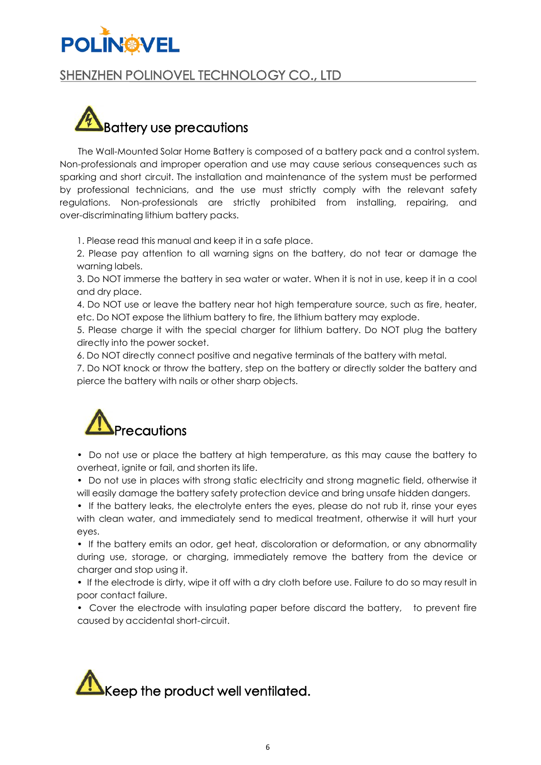## SHENZHEN POLINOVEL TECHNOLOGY CO., LTD



The Wall-Mounted Solar Home Battery is composed of a battery pack and a control system. Non-professionals and improper operation and use may cause serious consequences such as sparking and short circuit. The installation and maintenance of the system must be performed by professional technicians, and the use must strictly comply with the relevant safety regulations. Non-professionals are strictly prohibited from installing, repairing, and over-discriminating lithium battery packs.

1. Please read this manual and keep it in a safe place.

2. Please pay attention to all warning signs on the battery, do not tear or damage the warning labels.

3. Do NOT immerse the battery in sea water or water. When it is not in use, keep it in a cool and dry place.

4. Do NOT use or leave the battery near hot high temperature source, such as fire, heater, etc. Do NOT expose the lithium battery to fire, the lithium battery may explode.

5. Please charge it with the special charger for lithium battery. Do NOT plug the battery

directly into the power socket.<br>6. Do NOT directly connect positive and negative terminals of the battery with metal.

7. Do NOT knock or throw the battery, step on the battery or directly solder the battery and pierce the battery with nails or other sharp objects.



• Do not use or place the battery at high temperature, as this may cause the battery to overheat, ignite or fail, and shorten its life.

• Do not use in places with strong static electricity and strong magnetic field, otherwise it will easily damage the battery safety protection device and bring unsafe hidden dangers.

• If the battery leaks, the electrolyte enters the eyes, please do not rub it, rinse your eyes with clean water, and immediately send to medical treatment, otherwise it will hurt your eyes.

• If the battery emits an odor, get heat, discoloration or deformation, or any abnormality during use, storage, or charging, immediately remove the battery from the device or charger and stop using it.

• If the electrode is dirty, wipe it off with a dry cloth before use. Failure to do so may result in poor contact failure.

• Cover the electrode with insulating paper before discard the battery, to prevent fire caused by accidental short-circuit.

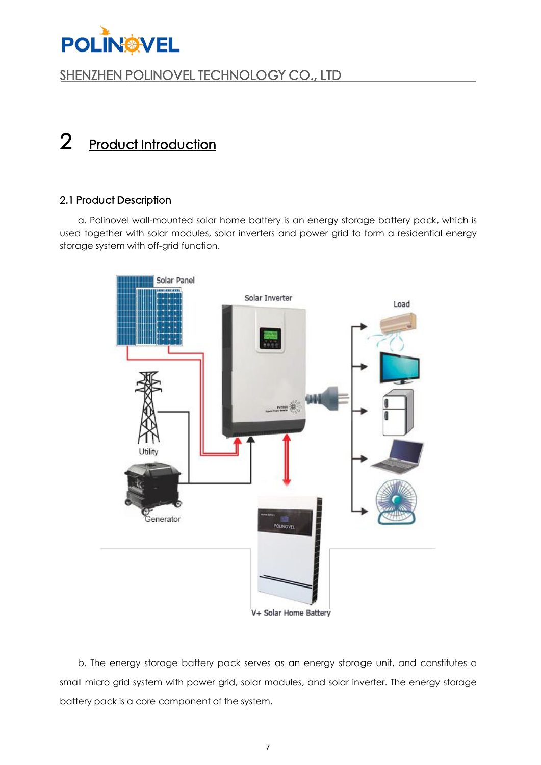

## <span id="page-6-0"></span>2 Product Introduction

#### <span id="page-6-1"></span>2.1 Product Description

a. Polinovel wall-mounted solar home battery is an energy storage battery pack, which is used together with solar modules, solar inverters and power grid to form a residential energy storage system with off-grid function.



V+ Solar Home Battery

b. The energy storage battery pack serves as an energy storage unit, and constitutes a small micro grid system with power grid, solar modules, and solar inverter. The energy storage battery pack is a core component of the system.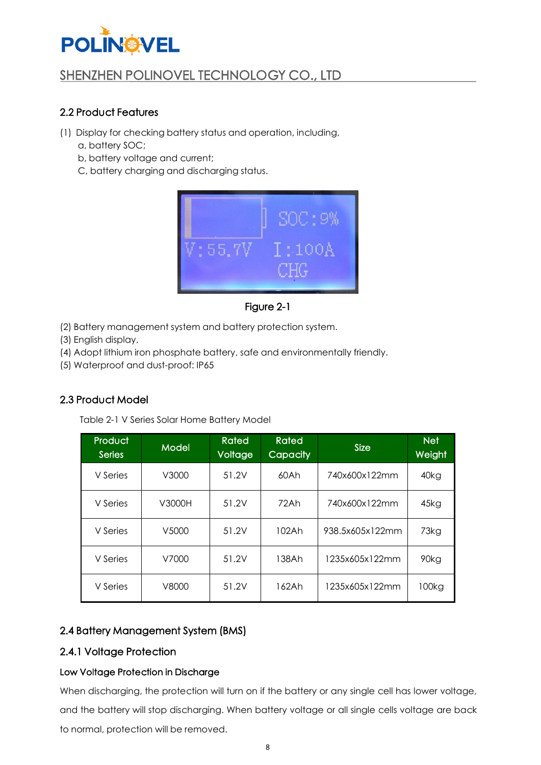## SHENZHEN POLINOVEL TECHNOLOGY CO., LTD

### <span id="page-7-0"></span>2.2 Product Features

- (1) Display for checking battery status and operation, including,
	- a, battery SOC;
	- b, battery voltage and current;
	- C, battery charging and discharging status.



Figure 2-1

- (2) Battery management system and battery protection system.
- (3) English display.
- (4) Adopt lithium iron phosphate battery, safe and environmentally friendly.
- (5) Waterproof and dust-proof: IP65

### <span id="page-7-1"></span>2.3 Product Model

Table 2-1 V Series Solar Home Battery Model

| Product<br><b>Series</b> | <b>Model</b> | Rated<br>Voltage | <b>Rated</b><br><b>Capacity</b> | <b>Size</b>     | <b>Net</b><br>Weight |
|--------------------------|--------------|------------------|---------------------------------|-----------------|----------------------|
| V Series                 | V3000        | 51.2V            | 60Ah                            | 740x600x122mm   | 40kg                 |
| V Series                 | V3000H       | 51.2V            | 72Ah                            | 740x600x122mm   | 45kg                 |
| V Series                 | V5000        | 51.2V            | 102Ah                           | 938.5x605x122mm | 73kg                 |
| V Series                 | V7000        | 51.2V            | 138Ah                           | 1235x605x122mm  | 90kg                 |
| V Series                 | V8000        | 51.2V            | 162Ah                           | 1235x605x122mm  | 100kg                |

### <span id="page-7-2"></span>2.4 Battery Management System (BMS)

### 2.4.1 Voltage Protection

#### Low Voltage Protection in Discharge

When discharging, the protection will turn on if the battery or any single cell has lower voltage, and the battery will stop discharging. When battery voltage or all single cells voltage are back to normal, protection will be removed.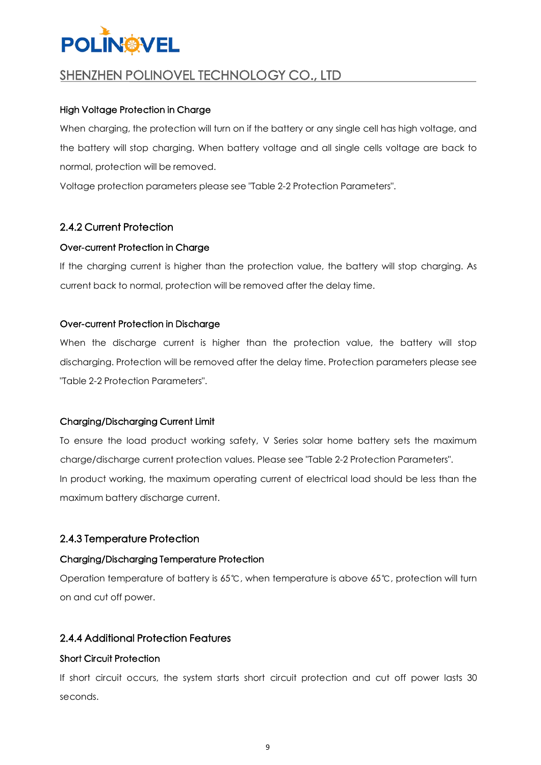## SHENZHEN POLINOVEL TECHNOLOGY CO., LTD

#### High Voltage Protection in Charge

When charging, the protection will turn on if the battery or any single cell has high voltage, and the battery will stop charging. When battery voltage and all single cells voltage are back to normal, protection will be removed.

Voltage protection parameters please see "Table 2-2 Protection Parameters".

#### 2.4.2 Current Protection

#### Over-current Protection in Charge

If the charging current is higher than the protection value, the battery will stop charging. As current back to normal, protection will be removed after the delay time.

#### Over-current Protection in Discharge

When the discharge current is higher than the protection value, the battery will stop discharging. Protection will be removed after the delay time. Protection parameters please see

# "Table 2-2 Protection Parameters".<br>Charging/Discharging Current Limit

To ensure the load product working safety, V Series solar home battery sets the maximum charge/discharge current protection values. Please see "Table 2-2 Protection Parameters". In product working, the maximum operating current of electrical load should be less than the maximum battery discharge current.

#### 2.4.3 Temperature Protection

#### Charging/Discharging Temperature Protection

Operation temperature of battery is 65℃, when temperature is above 65℃, protection will turn on and cut off power.

#### 2.4.4 Additional Protection Features

#### Short Circuit Protection

If short circuit occurs, the system starts short circuit protection and cut off power lasts 30 seconds.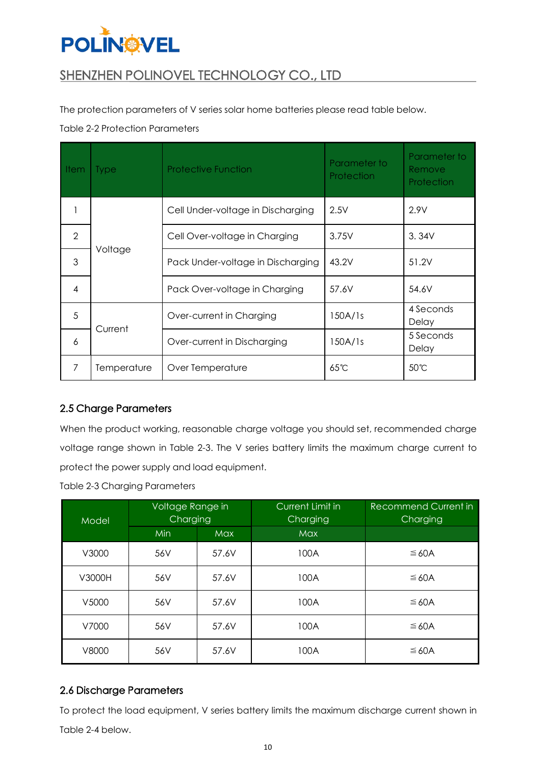## **POLINOVEL**

## SHENZHEN POLINOVEL TECHNOLOGY CO., LTD

The protection parameters of V series solar home batteries please read table below.

#### Table 2-2 Protection Parameters

| Item           | <b>Type</b> | <b>Protective Function</b>        | Parameter to<br>Protection | Parameter to<br><b>Remove</b><br>Protection |
|----------------|-------------|-----------------------------------|----------------------------|---------------------------------------------|
|                |             | Cell Under-voltage in Discharging | 2.5V                       | 2.9V                                        |
| $\overline{2}$ |             | Cell Over-voltage in Charging     | 3.75V                      | 3.34V                                       |
| 3              | Voltage     | Pack Under-voltage in Discharging | 43.2V                      | 51.2V                                       |
| 4              |             | Pack Over-voltage in Charging     | 57.6V                      | 54.6V                                       |
| 5              |             | Over-current in Charging          | 150A/1s                    | 4 Seconds<br>Delay                          |
| 6              | Current     | Over-current in Discharging       | 150A/1s                    | 5 Seconds<br>Delay                          |
| 7              | Temperature | Over Temperature                  | $65^{\circ}$ C             | 50℃                                         |

### <span id="page-9-0"></span>2.5 Charge Parameters

When the product working, reasonable charge voltage you should set, recommended charge voltage range shown in Table 2-3. The V series battery limits the maximum charge current to protect the power supply and load equipment.

| <b>Table 2-3 Charging Parameters</b> |  |
|--------------------------------------|--|
|--------------------------------------|--|

| Model  | Voltage Range in<br>Charging |            | Current Limit in<br>Charging | Recommend Current in<br>Charging |
|--------|------------------------------|------------|------------------------------|----------------------------------|
|        | Min                          | <b>Max</b> | <b>Max</b>                   |                                  |
| V3000  | 56V                          | 57.6V      | 100A                         | $\leq 60A$                       |
| V3000H | 56V                          | 57.6V      | 100A                         | $\leq$ 60A                       |
| V5000  | 56V                          | 57.6V      | 100A                         | ≤ 60A                            |
| V7000  | 56V                          | 57.6V      | 100A                         | ≤ 60A                            |
| V8000  | 56V                          | 57.6V      | 100A                         | ≤ 60A                            |

### <span id="page-9-1"></span>2.6 Discharge Parameters

To protect the load equipment, V series battery limits the maximum discharge current shown in Table 2-4 below.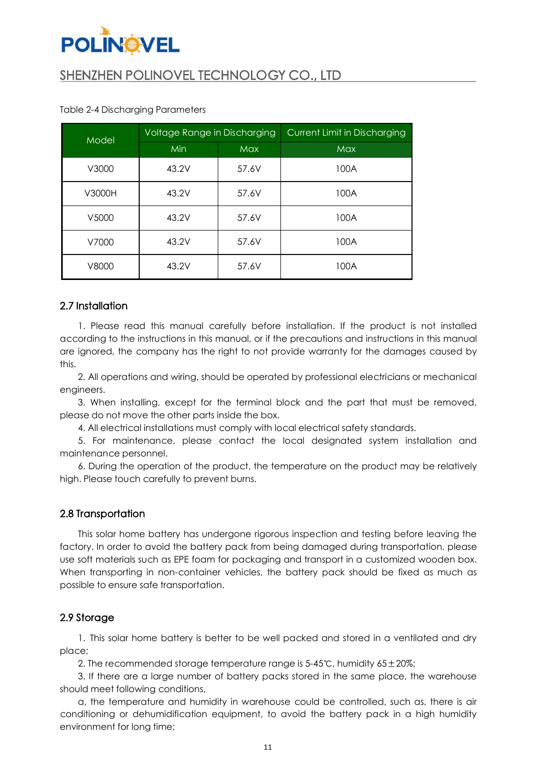## SHENZHEN POLINOVEL TECHNOLOGY CO., LTD

| Model  | Voltage Range in Discharging |            | <b>Current Limit in Discharging</b> |
|--------|------------------------------|------------|-------------------------------------|
|        | <b>Min</b>                   | <b>Max</b> | <b>Max</b>                          |
| V3000  | 43.2V                        | 57.6V      | 100A                                |
| V3000H | 43.2V                        | 57.6V      | 100A                                |
| V5000  | 43.2V                        | 57.6V      | 100A                                |
| V7000  | 43.2V                        | 57.6V      | 100A                                |
| V8000  | 43.2V                        | 57.6V      | 100A                                |

#### Table 2-4 Discharging Parameters

#### <span id="page-10-0"></span>2.7 Installation

1. Please read this manual carefully before installation. If the product is not installed according to the instructions in this manual, or if the precautions and instructionsin this manual are ignored, the company has the right to not provide warranty for the damages caused by this.

2. Alloperations and wiring, should be operated by professional electricians or mechanical engineers.

3. When installing, except for the terminal block and the part that must be removed, please do not move the other parts inside the box.

4. Allelectrical installations must comply with local electrical safety standards.

5. For maintenance, please contact the local designated system installation and maintenance personnel.

6. During the operation of the product, the temperature on the product may be relatively high. Please touch carefully to prevent burns.

#### <span id="page-10-1"></span>2.8 Transportation

This solar home battery has undergone rigorous inspection and testing before leaving the factory. In order to avoid the battery pack from being damaged during transportation, please use soft materials such as EPE foam for packaging and transport in a customized wooden box. When transporting in non-container vehicles, the battery pack should be fixed as much as possible to ensure safe transportation.

#### <span id="page-10-2"></span>2.9 Storage

1. This solar home battery is better to be well packed and stored in a ventilated and dry place;

2. The recommended storage temperature range is 5-45℃, humidity 65±20%;

3. If there are a large number of battery packs stored in the same place, the warehouse should meet following conditions,

a, the temperature and humidity in warehouse could be controlled, such as, there is air conditioning or dehumidification equipment, to avoid the battery pack in a high humidity environment for long time;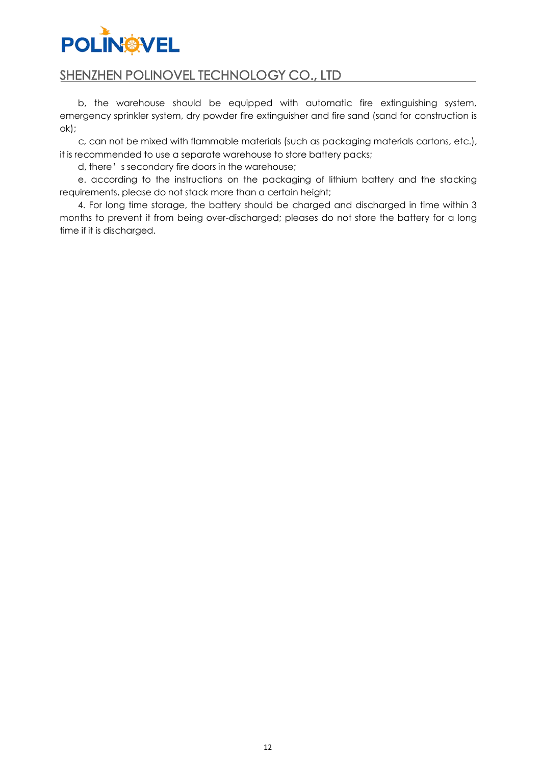### SHENZHEN POLINOVEL TECHNOLOGY CO., LTD

b, the warehouse should be equipped with automatic fire extinguishing system, emergency sprinkler system, dry powder fire extinguisher and fire sand (sand for construction is ok);

c, can not be mixed with flammable materials (such as packaging materials cartons, etc.), it is recommended to use a separate warehouse to store battery packs;

d, there's secondary fire doors in the warehouse;

e. according to the instructions on the packaging of lithium battery and the stacking requirements, please do not stack more than a certain height;

4. For long time storage, the battery should be charged and discharged in time within 3 months to prevent it from being over-discharged; pleases do not store the battery for a long time if it is discharged.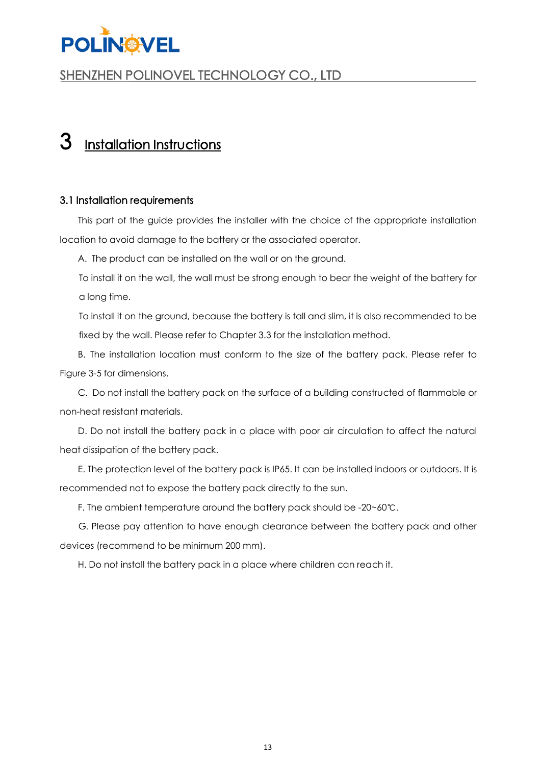

## <span id="page-12-0"></span>Installation Instructions

#### <span id="page-12-1"></span>3.1 Installation requirements

This part of the guide provides the installer with the choice of the appropriate installation location to avoid damage to the battery or the associated operator.

A. The product can be installed on the wall or on the ground.

To install it on the wall, the wall must be strong enough to bear the weight of the battery for a long time.

To install it on the ground, because the battery is tall and slim, it is also recommended to be fixed by the wall. Please refer to Chapter 3.3 for the installation method.

B. The installation location must conform to the size of the battery pack. Please refer to Figure 3-5 for dimensions.

C. Do not install the battery pack on the surface of a building constructed of flammable or non-heat resistant materials.

D. Do not install the battery pack in a place with poor air circulation to affect the natural heat dissipation of the battery pack.

E. The protection level of the battery pack is IP65. It can be installed indoors or outdoors. It is recommended not to expose the battery pack directly to the sun.

F. The ambient temperature around the battery pack should be -20~60℃.

G. Please pay attention to have enough clearance between the battery pack and other devices (recommend to be minimum 200 mm).

H. Do not install the battery pack in a place where children can reach it.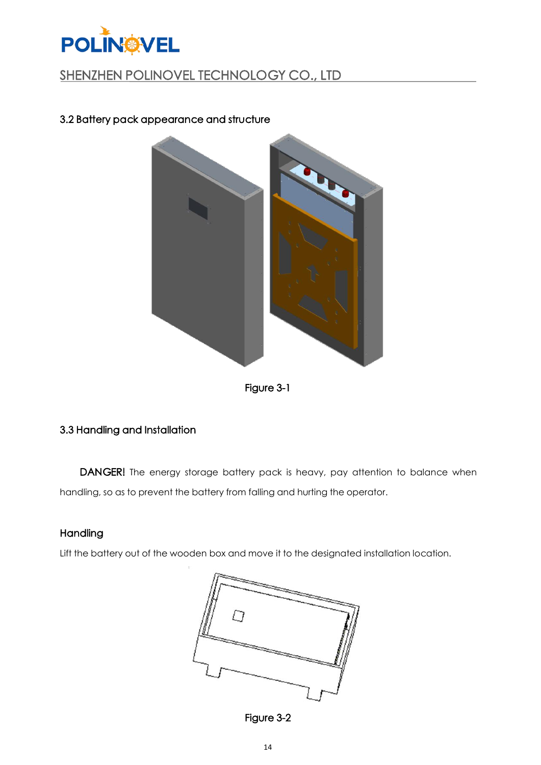

### <span id="page-13-0"></span>3.2 Battery pack appearance and structure





### <span id="page-13-1"></span>3.3 Handling and Installation

DANGER! The energy storage battery pack is heavy, pay attention to balance when handling, so as to prevent the battery from falling and hurting the operator.

#### **Handling**

Lift the battery out of the wooden box and move it to the designated installation location.



Figure 3-2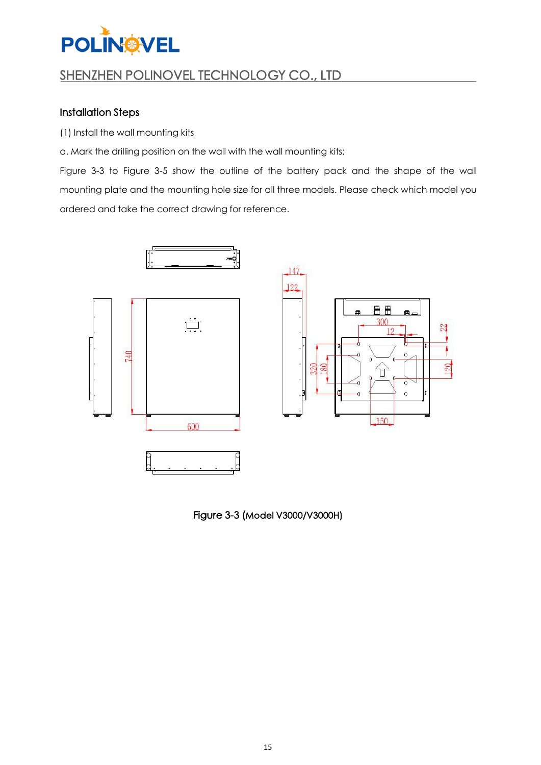## SHENZHEN POLINOVEL TECHNOLOGY CO., LTD

#### Installation Steps

(1) Install the wall mounting kits

a. Mark the drilling position on the wall with the wall mounting kits;

Figure 3-3 to Figure 3-5 show the outline of the battery pack and the shape of the wall mounting plate and the mounting hole size for all three models. Please check which model you ordered and take the correct drawing for reference.



Figure 3-3 (Model V3000/V3000H)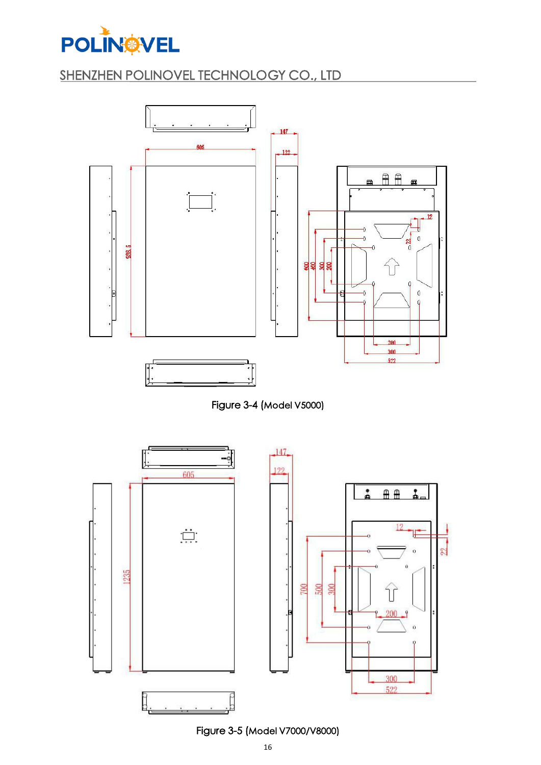![](_page_15_Picture_0.jpeg)

![](_page_15_Figure_2.jpeg)

![](_page_15_Figure_3.jpeg)

![](_page_15_Figure_4.jpeg)

Figure 3-5 (Model V7000/V8000)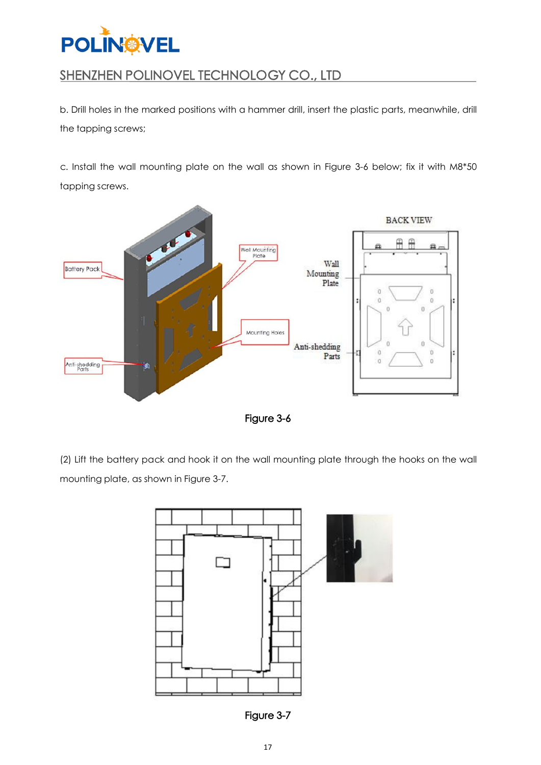![](_page_16_Picture_0.jpeg)

b. Drill holes in the marked positions with a hammer drill, insert the plastic parts, meanwhile, drill the tapping screws;

c. Install the wall mounting plate on the wall as shown in Figure 3-6 below; fix it with M8\*50 tapping screws.

![](_page_16_Figure_4.jpeg)

Figure 3-6

(2) Lift the battery pack and hook it on the wall mounting plate through the hooks on the wall mounting plate, as shown in Figure 3-7.

![](_page_16_Figure_7.jpeg)

Figure 3-7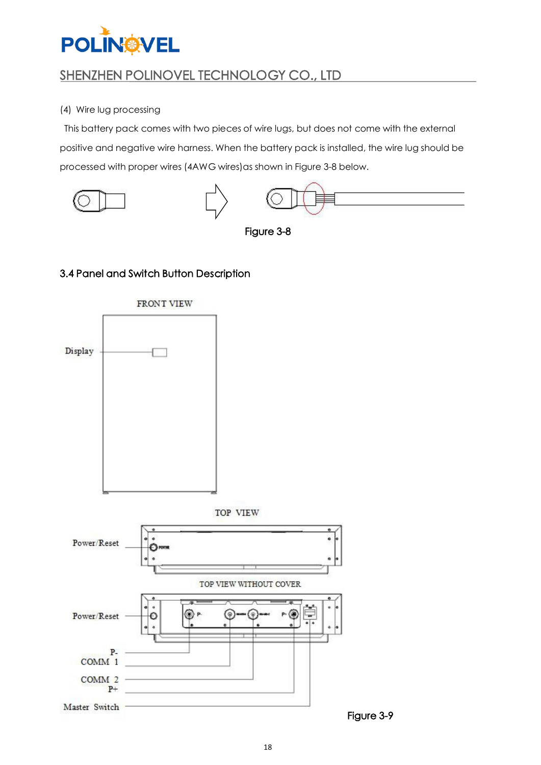![](_page_17_Picture_0.jpeg)

#### (4) Wire lug processing

This battery pack comes with two pieces of wire lugs, but does not come with the external positive and negative wire harness. When the battery pack is installed, the wire lug should be processed with proper wires (4AWG wires)as shown in Figure 3-8 below.

![](_page_17_Figure_4.jpeg)

![](_page_17_Figure_5.jpeg)

### <span id="page-17-0"></span>3.4 Panel and Switch Button Description

![](_page_17_Figure_7.jpeg)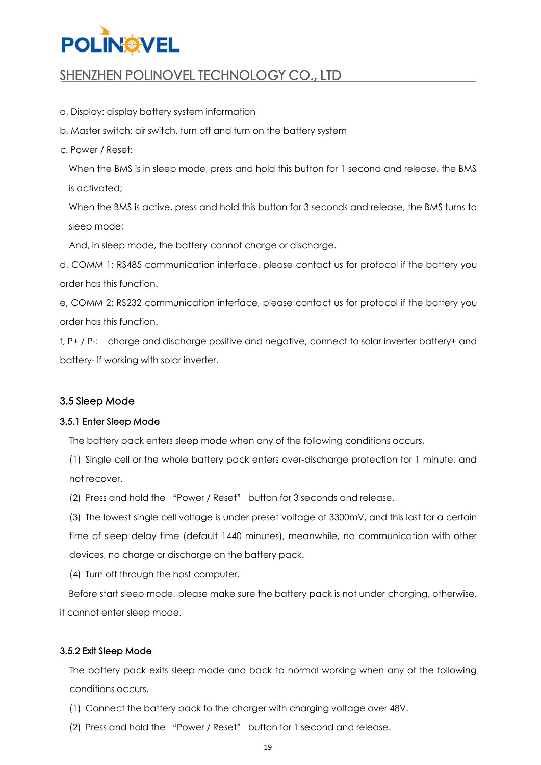## **POLIN®VEL**

## SHENZHEN POLINOVEL TECHNOLOGY CO., LTD

- a, Display: display battery system information
- b, Master switch: air switch, turn off and turn on the battery system
- c. Power / Reset:

When the BMS is in sleep mode, press and hold this button for 1 second and release, the BMS is activated;

When the BMS is active, press and hold this button for 3 seconds and release, the BMS turns to sleep mode;

And, in sleep mode, the battery cannot charge or discharge.

d, COMM 1: RS485 communication interface, please contact us for protocol if the battery you order has this function.

e, COMM 2: RS232 communication interface, please contact us for protocol if the battery you order has this function.

f, P+ / P-: charge and discharge positive and negative, connect to solar inverter battery+ and battery- if working with solar inverter.

#### <span id="page-18-0"></span>3.5 Sleep Mode

#### 3.5.1 Enter Sleep Mode

The battery pack enters sleep mode when any of the following conditions occurs,

(1) Single cell or the whole battery pack enters over-discharge protection for 1 minute, and not recover.

(2) Press and hold the "Power / Reset" button for 3 seconds and release.

(3) The lowest single cell voltage is under preset voltage of 3300mV, and this last for a certain time of sleep delay time (default 1440 minutes), meanwhile, no communication with other devices, no charge or discharge on the battery pack.

(4) Turn off through the host computer.

Before start sleep mode, please make sure the battery pack is not under charging, otherwise, it cannot enter sleep mode.

#### 3.5.2 Exit Sleep Mode

The battery pack exits sleep mode and back to normal working when any of the following conditions occurs,

- (1) Connect the battery pack to the charger with charging voltage over 48V.
- (2) Press and hold the "Power / Reset" button for 1 second and release.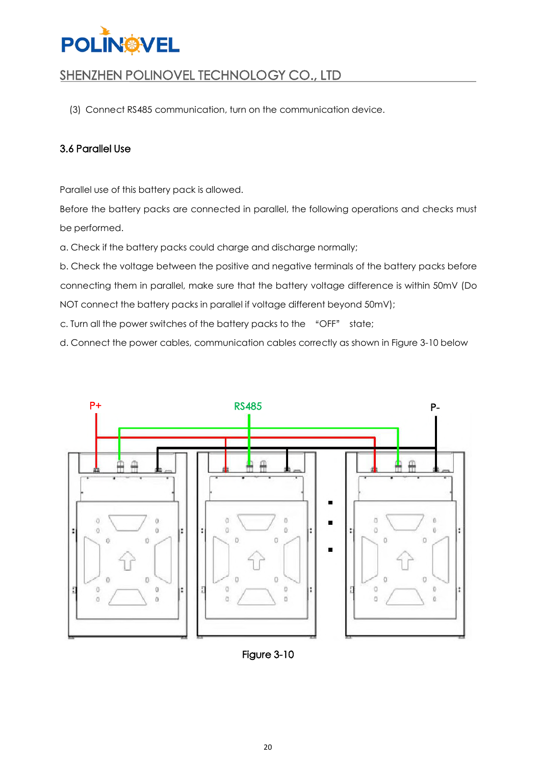![](_page_19_Picture_0.jpeg)

(3) Connect RS485 communication, turn on the communication device.

#### <span id="page-19-0"></span>3.6 Parallel Use

Parallel use of this battery pack is allowed.

Before the battery packs are connected in parallel, the following operations and checks must be performed.

a. Check if the battery packs could charge and discharge normally;

b. Check the voltage between the positive and negative terminals of the battery packs before connecting them in parallel, make sure that the battery voltage difference is within 50mV (Do NOT connect the battery packs in parallel if voltage different beyond 50mV);

c. Turn all the power switches of the battery packs to the "OFF" state;

d. Connect the power cables, communication cables correctly as shown in Figure 3-10 below

![](_page_19_Figure_10.jpeg)

![](_page_19_Figure_11.jpeg)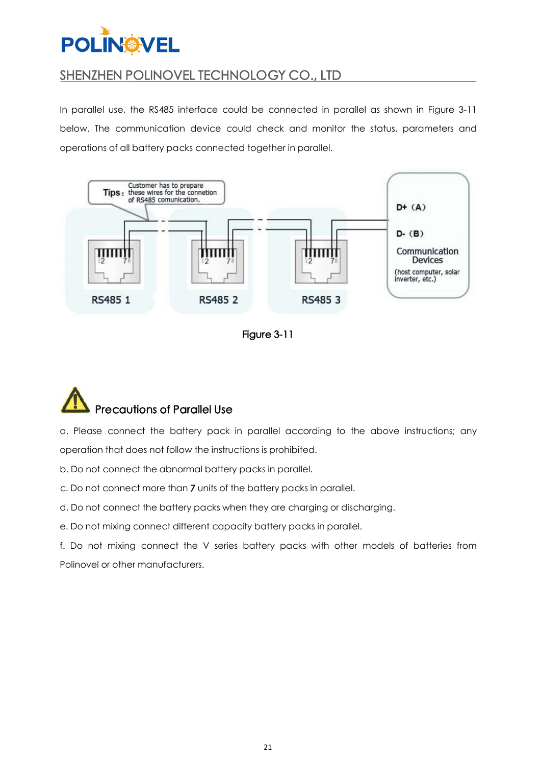## SHENZHEN POLINOVEL TECHNOLOGY CO., LTD

In parallel use, the RS485 interface could be connected in parallel as shown in Figure 3-11 below. The communication device could check and monitor the status, parameters and operations of all battery packs connected together in parallel.

![](_page_20_Figure_3.jpeg)

![](_page_20_Figure_4.jpeg)

![](_page_20_Picture_5.jpeg)

a. Please connect the battery pack in parallel according to the above instructions; any operation that does not follow the instructions is prohibited.

b. Do not connect the abnormal battery packs in parallel.

c. Do not connect more than 7 units of the battery packs in parallel.

d. Do not connect the battery packs when they are charging or discharging.

e. Do not mixing connect different capacity battery packs in parallel.

f. Do not mixing connect the V series battery packs with other models of batteries from Polinovel or other manufacturers.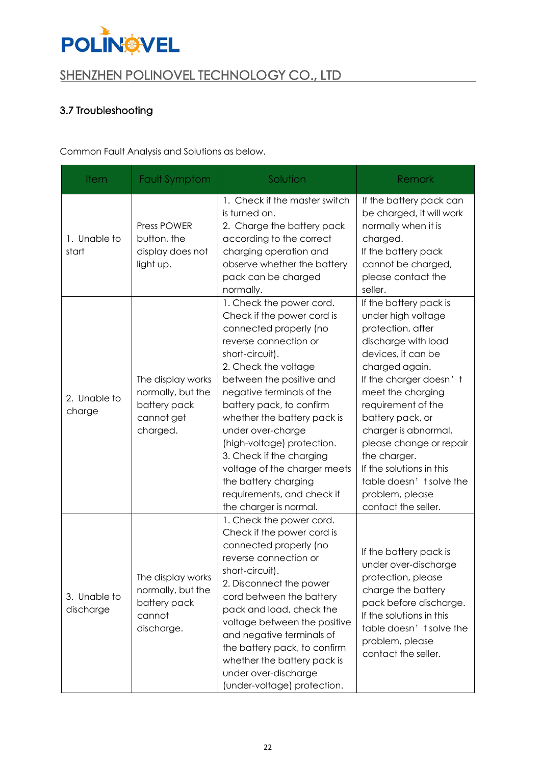![](_page_21_Picture_0.jpeg)

### <span id="page-21-0"></span>3.7 Troubleshooting

Common Fault Analysis and Solutions as below.

| <b>Item</b>               | <b>Fault Symptom</b>                                                             | Solution                                                                                                                                                                                                                                                                                                                                                                                                                                                                | Remark                                                                                                                                                                                                                                                                                                                                                                                        |
|---------------------------|----------------------------------------------------------------------------------|-------------------------------------------------------------------------------------------------------------------------------------------------------------------------------------------------------------------------------------------------------------------------------------------------------------------------------------------------------------------------------------------------------------------------------------------------------------------------|-----------------------------------------------------------------------------------------------------------------------------------------------------------------------------------------------------------------------------------------------------------------------------------------------------------------------------------------------------------------------------------------------|
| 1. Unable to<br>start     | <b>Press POWER</b><br>button, the<br>display does not<br>light up.               | 1. Check if the master switch<br>is turned on.<br>2. Charge the battery pack<br>according to the correct<br>charging operation and<br>observe whether the battery<br>pack can be charged<br>normally.                                                                                                                                                                                                                                                                   | If the battery pack can<br>be charged, it will work<br>normally when it is<br>charged.<br>If the battery pack<br>cannot be charged,<br>please contact the<br>seller.                                                                                                                                                                                                                          |
| 2. Unable to<br>charge    | The display works<br>normally, but the<br>battery pack<br>cannot get<br>charged. | 1. Check the power cord.<br>Check if the power cord is<br>connected properly (no<br>reverse connection or<br>short-circuit).<br>2. Check the voltage<br>between the positive and<br>negative terminals of the<br>battery pack, to confirm<br>whether the battery pack is<br>under over-charge<br>(high-voltage) protection.<br>3. Check if the charging<br>voltage of the charger meets<br>the battery charging<br>requirements, and check if<br>the charger is normal. | If the battery pack is<br>under high voltage<br>protection, after<br>discharge with load<br>devices, it can be<br>charged again.<br>If the charger doesn't<br>meet the charging<br>requirement of the<br>battery pack, or<br>charger is abnormal,<br>please change or repair<br>the charger.<br>If the solutions in this<br>table doesn't solve the<br>problem, please<br>contact the seller. |
| 3. Unable to<br>discharge | The display works<br>normally, but the<br>battery pack<br>cannot<br>discharge.   | 1. Check the power cord.<br>Check if the power cord is<br>connected properly (no<br>reverse connection or<br>short-circuit).<br>2. Disconnect the power<br>cord between the battery<br>pack and load, check the<br>voltage between the positive<br>and negative terminals of<br>the battery pack, to confirm<br>whether the battery pack is<br>under over-discharge<br>(under-voltage) protection.                                                                      | If the battery pack is<br>under over-discharge<br>protection, please<br>charge the battery<br>pack before discharge.<br>If the solutions in this<br>table doesn't solve the<br>problem, please<br>contact the seller.                                                                                                                                                                         |